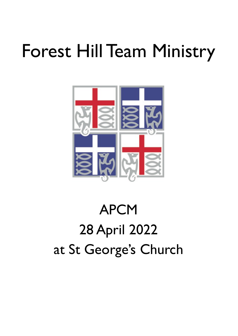# Forest Hill Team Ministry



# APCM 28 April 2022 at St George's Church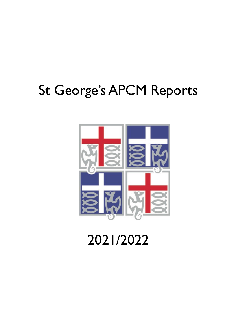## St George's APCM Reports



2021/2022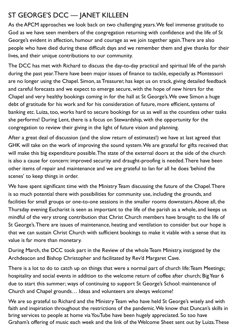## ST GEORGE'S DCC — JANET KILLEEN

As the APCM approaches we look back on two challenging years. We feel immense gratitude to God as we have seen members of the congregation returning with confidence and the life of St George's evident in affection, humour and courage as we join together again. There are also people who have died during these difficult days and we remember them and give thanks for their lives, and their unique contributions to our community.

The DCC has met with Richard to discuss the day-to-day practical and spiritual life of the parish during the past year. There have been major issues of finance to tackle, especially as Montessori are no longer using the Chapel. Simon, as Treasurer, has kept us on track, giving detailed feedback and careful forecasts and we expect to emerge secure, with the hope of new hirers for the Chapel and very healthy bookings coming in for the hall at St George's. We owe Simon a huge debt of gratitude for his work and for his consideration of future, more efficient, systems of banking etc. Luiza, too, works hard to secure bookings for us as well as the countless other tasks she performs! During Lent, there is a focus on Stewardship, with the opportunity for the congregation to review their giving in the light of future vision and planning.

After a great deal of discussion (and the slow return of estimates!) we have at last agreed that GHK will take on the work of improving the sound system. We are grateful for gifts received that will make this big expenditure possible. The state of the external doors at the side of the church is also a cause for concern: improved security and draught-proofing is needed. There have been other items of repair and maintenance and we are grateful to Ian for all he does 'behind the scenes' to keep things in order.

We have spent significant time with the Ministry Team discussing the future of the Chapel. There is so much potential there with possibilities for community use, including the grounds, and facilities for small groups or one-to-one sessions in the smaller rooms downstairs. Above all, the Thursday evening Eucharist is seen as important to the life of the parish as a whole, and keeps us mindful of the very strong contribution that Christ Church members have brought to the life of St George's. There are issues of maintenance, heating and ventilation to consider but our hope is that we can sustain Christ Church with sufficient bookings to make it viable with a sense that its value is far more than monetary.

During March, the DCC took part in the Review of the whole Team Ministry, instigated by the Archdeacon and Bishop Christopher and facilitated by Rev'd Margaret Cave.

There is a lot to do to catch up on things that were a normal part of church life: Team Meetings; hospitality and social events in addition to the welcome return of coffee after church; Big Year 6 due to start this summer; ways of continuing to support St George's School: maintenance of Church and Chapel grounds… Ideas and volunteers are always welcome!

We are so grateful to Richard and the Ministry Team who have held St George's wisely and with faith and inspiration throughout the restrictions of the pandemic. We know that Duncan's skills in bring services to people at home via YouTube have been hugely appreciated. So too have Graham's offering of music each week and the link of the Welcome Sheet sent out by Luiza. These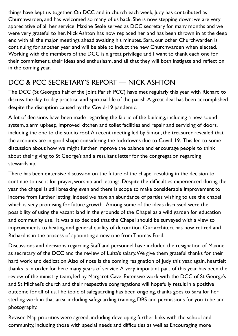things have kept us together. On DCC and in church each week, Judy has contributed as Churchwarden, and has welcomed so many of us back. She is now stepping down: we are very appreciative of all her service. Maxine Seale served as DCC secretary for many months and we were very grateful to her. Nick Ashton has now replaced her and has been thrown in at the deep end with all the major meetings ahead awaiting his minutes. Sara, our other Churchwarden is continuing for another year and will be able to induct the new Churchwarden when elected. Working with the members of the DCC is a great privilege and I want to thank each one for their commitment, their ideas and enthusiasm, and all that they will both instigate and reflect on in the coming year.

## DCC & PCC SECRETARY'S REPORT — NICK ASHTON

The DCC (St George's half of the Joint Parish PCC) have met regularly this year with Richard to discuss the day-to-day practical and spiritual life of the parish. A great deal has been accomplished despite the disruption caused by the Covid-19 pandemic.

A lot of decisions have been made regarding the fabric of the building, including a new sound system, alarm upkeep, improved kitchen and toilet facilities and repair and servicing of doors, including the one to the studio roof. A recent meeting led by Simon, the treasurer revealed that the accounts are in good shape considering the lockdowns due to Covid-19. This led to some discussion about how we might further improve the balance and encourage people to think about their giving to St George's and a resultant letter for the congregation regarding stewardship.

There has been extensive discussion on the future of the chapel resulting in the decision to continue to use it for prayer, worship and lettings. Despite the difficulties experienced during the year the chapel is still breaking even and there is scope to make considerable improvement to income from further letting, indeed we have an abundance of parties wishing to use the chapel which is very promising for future growth. Among some of the ideas discussed were the possibility of using the vacant land in the grounds of the Chapel as a wild garden for education and community use. It was also decided that the Chapel should be surveyed with a view to improvements to heating and general quality of decoration. Our architect has now retired and Richard is in the process of appointing a new one from Thomas Ford.

Discussions and decisions regarding Staff and personnel have included the resignation of Maxine as secretary of the DCC and the review of Luiza's salary. We give them grateful thanks for their hard work and dedication. Also of note is the coming resignation of Judy this year, again, heartfelt thanks is in order for here many years of service. A very important part of this year has been the review of the ministry team, led by Margaret Cave. Extensive work with the DCC of St George's and St Michael's church and their respective congregations will hopefully result in a positive outcome for all of us. The topic of safeguarding has been ongoing, thanks goes to Sara for her sterling work in that area, including safeguarding training, DBS and permissions for you-tube and photography.

Revised Map priorities were agreed, including developing further links with the school and community, including those with special needs and difficulties as well as Encouraging more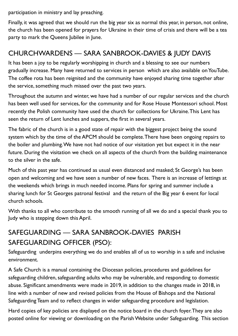participation in ministry and lay preaching.

Finally, it was agreed that we should run the big year six as normal this year, in person, not online, the church has been opened for prayers for Ukraine in their time of crisis and there will be a tea party to mark the Queens Jubilee in June.

## CHURCHWARDENS — SARA SANBROOK-DAVIES & JUDY DAVIS

It has been a joy to be regularly worshipping in church and a blessing to see our numbers gradually increase. Many have returned to services in person which are also available on YouTube. The coffee rota has been reignited and the community have enjoyed sharing time together after the service, something much missed over the past two years.

Throughout the autumn and winter, we have had a number of our regular services and the church has been well used for services, for the community and for Rose House Montessori school. Most recently the Polish community have used the church for collections for Ukraine. This Lent has seen the return of Lent lunches and suppers, the first in several years.

The fabric of the church is in a good state of repair with the biggest project being the sound system which by the time of the APCM should be complete. There have been ongoing repairs to the boiler and plumbing. We have not had notice of our visitation yet but expect it in the near future. During the visitation we check on all aspects of the church from the building maintenance to the silver in the safe.

Much of this past year has continued as usual even distanced and masked; St George's has been open and welcoming and we have seen a number of new faces. There is an increase of lettings at the weekends which brings in much needed income. Plans for spring and summer include a sharing lunch for St Georges patronal festival and the return of the Big year 6 event for local church schools.

With thanks to all who contribute to the smooth running of all we do and a special thank you to Judy who is stepping down this April.

## SAFEGUARDING — SARA SANBROOK-DAVIES PARISH SAFEGUARDING OFFICER (PSO):

Safeguarding underpins everything we do and enables all of us to worship in a safe and inclusive environment.

A Safe Church is a manual containing the Diocesan policies, procedures and guidelines for safeguarding children, safeguarding adults who may be vulnerable, and responding to domestic abuse. Significant amendments were made in 2019, in addition to the changes made in 2018, in line with a number of new and revised policies from the House of Bishops and the National Safeguarding Team and to reflect changes in wider safeguarding procedure and legislation.

Hard copies of key policies are displayed on the notice board in the church foyer. They are also posted online for viewing or downloading on the Parish Website under Safeguarding. This section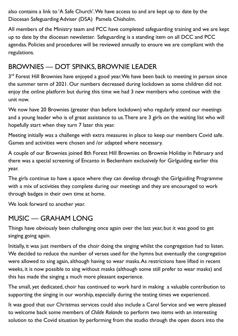also contains a link to 'A Safe Church'. We have access to and are kept up to date by the Diocesan Safeguarding Adviser (DSA) Pamela Chisholm.

All members of the Ministry team and PCC have completed safeguarding training and we are kept up to date by the diocesan newsletter. Safeguarding is a standing item on all DCC and PCC agendas. Policies and procedures will be reviewed annually to ensure we are compliant with the regulations.

## BROWNIES — DOT SPINKS, BROWNIE LEADER

3<sup>rd</sup> Forest Hill Brownies have enjoyed a good year. We have been back to meeting in person since the summer term of 2021. Our numbers decreased during lockdown as some children did not enjoy the online platform but during this time we had 3 new members who continue with the unit now.

We now have 20 Brownies (greater than before lockdown) who regularly attend our meetings and a young leader who is of great assistance to us. There are 3 girls on the waiting list who will hopefully start when they turn 7 later this year.

Meeting initially was a challenge with extra measures in place to keep our members Covid safe. Games and activities were chosen and /or adapted where necessary.

A couple of our Brownies joined 8th Forest Hill Brownies on Brownie Holiday in February and there was a special screening of Encanto in Beckenham exclusively for Girlguiding earlier this year.

The girls continue to have a space where they can develop through the Girlguiding Programme with a mix of activities they complete during our meetings and they are encouraged to work through badges in their own time at home.

We look forward to another year.

## MUSIC — GRAHAM LONG

Things have obviously been challenging once again over the last year, but it was good to get singing going again.

Initially, it was just members of the choir doing the singing whilst the congregation had to listen. We decided to reduce the number of verses used for the hymns but eventually the congregation were allowed to sing again, although having to wear masks. As restrictions have lifted in recent weeks, it is now possible to sing without masks (although some still prefer to wear masks) and this has made the singing a much more pleasant experience.

The small, yet dedicated, choir has continued to work hard in making a valuable contribution to supporting the singing in our worship, especially during the testing times we experienced.

It was good that our Christmas services could also include a Carol Service and we were pleased to welcome back some members of *Childe Rolande* to perform two items with an interesting solution to the Covid situation by performing from the studio through the open doors into the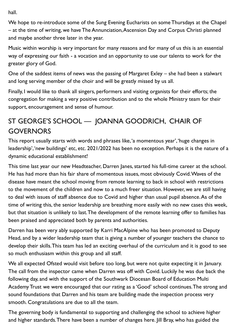hall.

We hope to re-introduce some of the Sung Evening Eucharists on some Thursdays at the Chapel – at the time of writing, we have The Annunciation, Ascension Day and Corpus Christi planned and maybe another three later in the year.

Music within worship is very important for many reasons and for many of us this is an essential way of expressing our faith - a vocation and an opportunity to use our talents to work for the greater glory of God.

One of the saddest items of news was the passing of Margaret Exley – she had been a stalwart and long serving member of the choir and will be greatly missed by us all.

Finally, I would like to thank all singers, performers and visiting organists for their efforts; the congregation for making a very positive contribution and to the whole Ministry team for their support, encouragement and sense of humour.

## ST GEORGE'S SCHOOL — JOANNA GOODRICH, CHAIR OF **GOVERNORS**

This report usually starts with words and phrases like, 'a momentous year', 'huge changes in leadership', 'new buildings' etc, etc. 2021/2022 has been no exception. Perhaps it is the nature of a dynamic educational establishment!

This time last year our new Headteacher, Darren Janes, started his full-time career at the school. He has had more than his fair share of momentous issues, most obviously Covid. Waves of the disease have meant the school moving from remote learning to back in school with restrictions to the movement of the children and now to a much freer situation. However, we are still having to deal with issues of staff absence due to Covid and higher than usual pupil absence. As of the time of writing this, the senior leadership are breathing more easily with no new cases this week, but that situation is unlikely to last. The development of the remote learning offer to families has been praised and appreciated both by parents and authorities.

Darren has been very ably supported by Karri MacAlpine who has been promoted to Deputy Head, and by a wider leadership team that is giving a number of younger teachers the chance to develop their skills. This team has led an exciting overhaul of the curriculum and it is good to see so much enthusiasm within this group and all staff.

We all expected Ofsted would visit before too long, but were not quite expecting it in January. The call from the inspector came when Darren was off with Covid. Luckily he was due back the following day, and with the support of the Southwark Diocesan Board of Education Multi Academy Trust we were encouraged that our rating as a 'Good' school continues. The strong and sound foundations that Darren and his team are building made the inspection process very smooth. Congratulations are due to all the team.

The governing body is fundamental to supporting and challenging the school to achieve higher and higher standards. There have been a number of changes here. Jill Bray, who has guided the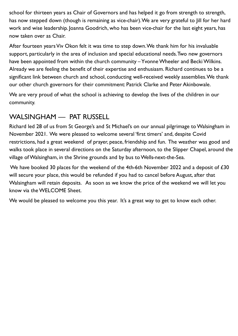school for thirteen years as Chair of Governors and has helped it go from strength to strength, has now stepped down (though is remaining as vice-chair). We are very grateful to Jill for her hard work and wise leadership. Joanna Goodrich, who has been vice-chair for the last eight years, has now taken over as Chair.

After fourteen years Viv Okon felt it was time to step down. We thank him for his invaluable support, particularly in the area of inclusion and special educational needs. Two new governors have been appointed from within the church community – Yvonne Wheeler and Becki Wilkins. Already we are feeling the benefit of their expertise and enthusiasm. Richard continues to be a significant link between church and school, conducting well-received weekly assemblies. We thank our other church governors for their commitment: Patrick Clarke and Peter Akinbowale.

We are very proud of what the school is achieving to develop the lives of the children in our community.

## WALSINGHAM — PAT RUSSELL

Richard led 28 of us from St George's and St Michael's on our annual pilgrimage to Walsingham in November 2021. We were pleased to welcome several 'first timers' and, despite Covid restrictions, had a great weekend of prayer, peace, friendship and fun. The weather was good and walks took place in several directions on the Saturday afternoon, to the Slipper Chapel, around the village of Walsingham, in the Shrine grounds and by bus to Wells-next-the-Sea.

We have booked 30 places for the weekend of the 4th-6th November 2022 and a deposit of £30 will secure your place, this would be refunded if you had to cancel before August, after that Walsingham will retain deposits. As soon as we know the price of the weekend we will let you know via the WELCOME Sheet.

We would be pleased to welcome you this year. It's a great way to get to know each other.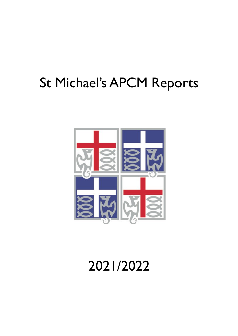## St Michael's APCM Reports



## 2021/2022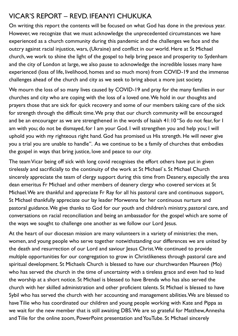## VICAR'S REPORT – REVD. IFEANYI CHUKUKA

On writing this report the contents will be focused on what God has done in the previous year. However, we recognize that we must acknowledge the unprecedented circumstances we have experienced as a church community during this pandemic and the challenges we face and the outcry against racial injustice, wars, (Ukraine) and conflict in our world. Here at St Michael church, we work to shine the light of the gospel to help bring peace and prosperity to Sydenham and the city of London at large, we also pause to acknowledge the incredible losses many have experienced (loss of life, livelihood, homes and so much more) from COVID-19 and the immense challenges ahead of the church and city as we seek to bring about a more just society.

We mourn the loss of so many lives caused by COVID-19 and pray for the many families in our churches and city who are coping with the loss of a loved one. We hold in our thoughts and prayers those that are sick for quick recovery and some of our members taking care of the sick for strength through the difficult time. We pray that our church community will be encouraged and be an encourager as we are strengthened in the words of Isaiah 41:10 "So do not fear, for I am with you; do not be dismayed, for I am your God. I will strengthen you and help you; I will uphold you with my righteous right hand. God has promised us His strength. He will never give you a trial you are unable to handle". As we continue to be a family of churches that embodies the gospel in ways that bring justice, love and peace to our city.

The team Vicar being off sick with long covid recognises the effort others have put in given tirelessly and sacrificially to the continuity of the work at St Michael`s. St Michael Church sincerely appreciate the team of clergy support during this time from Deanery, especially the area dean emeritus Fr Michael and other members of deanery clergy who covered services at St Michael. We are thankful and appreciate Fr Ray for all his pastoral care and continuous support, St Michael thankfully appreciate our lay leader Morwenna for her continuous nurture and pastoral guidance. We give thanks to God for our youth and children's ministry, pastoral care, and conversations on racial reconciliation and being an ambassador for the gospel which are some of the ways we sought to challenge one another as we follow our Lord Jesus.

At the heart of our diocesan mission are many volunteers in a variety of ministries: the men, women, and young people who serve together notwithstanding our differences we are united by the death and resurrection of our Lord and saviour Jesus Christ. We continued to provide multiple opportunities for our congregation to grow in Christlikeness through pastoral care and spiritual development. St Michaels Church is blessed to have our churchwarden Maureen (Mo) who has served the church in the time of uncertainty with a tireless grace and even had to lead the worship at a short notice. St Michael is blessed to have Brenda who has also served the church with her skilled administration and other proficient talents. St Michael is blessed to have Sybil who has served the church with her accounting and management abilities. We are blessed to have Tilie who has coordinated our children and young people working with Kate and Pippa as we wait for the new member that is still awaiting DBS. We are so grateful for Matthew, Annesha and Tilie for the online zoom, PowerPoint presentation and YouTube. St Michael sincerely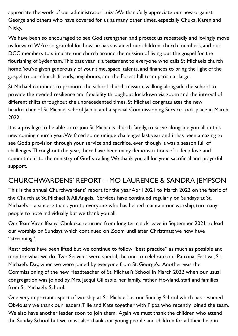appreciate the work of our administrator Luiza. We thankfully appreciate our new organist George and others who have covered for us at many other times, especially Chuka, Karen and Nicky.

We have been so encouraged to see God strengthen and protect us repeatedly and lovingly move us forward. We're so grateful for how he has sustained our children, church members, and our DCC members to stimulate our church around the mission of living out the gospel for the flourishing of Sydenham. This past year is a testament to everyone who calls St Michaels church home. You've given generously of your time, space, talents, and finances to bring the light of the gospel to our church, friends, neighbours, and the Forest hill team parish at large.

St Michael continues to promote the school church mission, walking alongside the school to provide the needed resilience and flexibility throughout lockdown via zoom and the interval of different shifts throughout the unprecedented times. St Michael congratulates the new headteacher of St Michael school Jacqui and a special Commissioning Service took place in March 2022.

It is a privilege to be able to re-join St Michaels church family, to serve alongside you all in this new coming church year. We faced some unique challenges last year and it has been amazing to see God's provision through your service and sacrifice, even though it was a season full of challenges. Throughout the year, there have been many demonstrations of a deep love and commitment to the ministry of God`s calling. We thank you all for your sacrificial and prayerful support.

## CHURCHWARDENS' REPORT – MO LAURENCE & SANDRA JEMPSON

This is the annual Churchwardens' report for the year April 2021 to March 2022 on the fabric of the Church at St. Michael & All Angels. Services have continued regularly on Sundays at St. Michael's – a sincere thank you to everyone who has helped maintain our worship, too many people to note individually but we thank you all.

Our Team Vicar, Ifeanyi Chukuka, returned from long term sick leave in September 2021 to lead our worship on Sundays which continued on Zoom until after Christmas; we now have "streaming".

Restrictions have been lifted but we continue to follow "best practice" as much as possible and monitor what we do. Two Services were special, the one to celebrate our Patronal Festival, St. Michael's Day, when we were joined by everyone from St. George's. Another was the Commissioning of the new Headteacher of St. Michael's School in March 2022 when our usual congregation was joined by Mrs. Jacqui Gillespie, her family, Father Howland, staff and families from St. Michael's School.

One very important aspect of worship at St. Michael's is our Sunday School which has resumed. Obviously we thank our leaders, Tilie and Kate together with Pippa who recently joined the team. We also have another leader soon to join them. Again we must thank the children who attend the Sunday School but we must also thank our young people and children for all their help in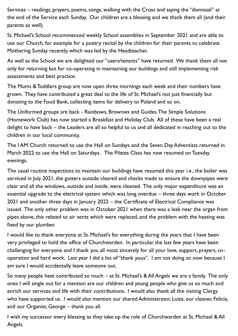Services – readings, prayers, poems, songs, walking with the Cross and saying the "dismissal" at the end of the Service each Sunday. Our children are a blessing and we thank them all (and their parents as well).

St. Michael's School recommenced weekly School assemblies in September 2021 and are able to use our Church, for example for a poetry recital by the children for their parents to celebrate Mothering Sunday recently, which was led by the Headteacher.

As well as the School we are delighted our "users/tenants" have returned. We thank them all not only for returning but for co-operating in maintaining our buildings and still implementing risk assessments and best practice.

The Mums & Toddlers group are now open three mornings each week and their numbers have grown. They have contributed a great deal to the life of St. Michael's not just financially but donating to the Food Bank, collecting items for delivery to Poland and so on.

The Uniformed groups are back - Rainbows, Brownies and Guides. The Simple Solutions (Homework Club) has now started a Breakfast and Holiday Club. All of these have been a real delight to have back – the Leaders are all so helpful to us and all dedicated in reaching out to the children in our local community.

The I AM Church returned to use the Hall on Sundays and the Seven Day Adventists returned in March 2022 to use the Hall on Saturdays. The Pilates Class has now resumed on Tuesday evenings.

The usual routine inspections to maintain our buildings have resumed this year i.e., the boiler was serviced in July 2021, the gutters outside cleared and checks made to ensure the downpipes were clear and all the windows, outside and inside, were cleaned. The only major expenditure was an essential upgrade to the electrical system which was long overdue – three days work in October 2021 and another three days in January 2022 – the Certificate of Electrical Compliance was issued. The only other problem was in October 2021 when there was a leak near the organ from pipes above, this related to air vents which were replaced, and the problem with the heating was fixed by our plumber.

I would like to thank everyone at St. Michael's for everything during the years that I have been very privileged to hold the office of Churchwarden. In particular, the last few years have been challenging for everyone and I thank you all most sincerely for all your love, support, prayers, cooperation and hard work. Last year I did a list of "thank yous". I am not doing so now because I am sure I would accidentally leave someone out.

So many people have contributed so much – at St. Michael's & All Angels we are a family. The only ones I will single out for a mention are our children and young people who give us so much and enrich our services and life with their contributions. I would also thank all the visiting Clergy who have supported us. I would also mention our shared Administrator, Luiza, our cleaner, Felicia, and our Organist, George – thank you all.

I wish my successor every blessing as they take up the role of Churchwarden at St. Michael & All Angels.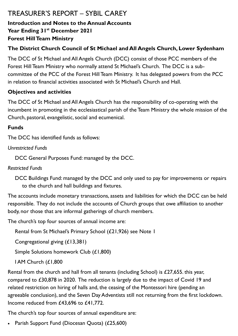## TREASURER'S REPORT – SYBIL CAREY

#### **Introduction and Notes to the Annual Accounts Year Ending 31st December 2021**

#### **Forest Hill Team Ministry**

#### **The District Church Council of St Michael and All Angels Church, Lower Sydenham**

The DCC of St Michael and All Angels Church (DCC) consist of those PCC members of the Forest Hill Team Ministry who normally attend St Michael's Church. The DCC is a subcommittee of the PCC of the Forest Hill Team Ministry. It has delegated powers from the PCC in relation to financial activities associated with St Michael's Church and Hall.

#### **Objectives and activities**

The DCC of St Michael and All Angels Church has the responsibility of co-operating with the incumbent in promoting in the ecclesiastical parish of the Team Ministry the whole mission of the Church, pastoral, evangelistic, social and ecumenical.

#### **Funds**

The DCC has identified funds as follows:

*Unrestricted Funds*

DCC General Purposes Fund: managed by the DCC.

*Restricted Funds*

DCC Buildings Fund: managed by the DCC and only used to pay for improvements or repairs to the church and hall buildings and fixtures.

The accounts include monetary transactions, assets and liabilities for which the DCC can be held responsible. They do not include the accounts of Church groups that owe affiliation to another body, nor those that are informal gatherings of church members.

The church's top four sources of annual income are:

Rental from St Michael's Primary School (£21,926) see Note 1

Congregational giving (£13,381)

Simple Solutions homework Club (£1,800)

```
I AM Church (£1,800
```
Rental from the church and hall from all tenants (including School) is £27,655. this year, compared to £30,878 in 2020. The reduction is largely due to the impact of Covid 19 and related restriction on hiring of halls and, the ceasing of the Montessori hire (pending an agreeable conclusion), and the Seven Day Adventists still not returning from the first lockdown. Income reduced from £43,696 to £41,772.

The church's top four sources of annual expenditure are:

Parish Support Fund (Diocesan Quota) (£25,600)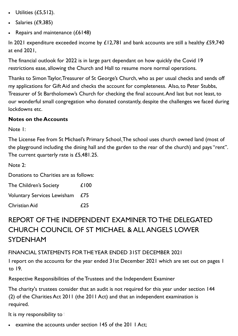- Utilities  $(E5,512)$ .
- Salaries (£9,385)
- Repairs and maintenance (£6148)

In 2021 expenditure exceeded income by £12,781 and bank accounts are still a healthy £59,740 at end 2021,

The financial outlook for 2022 is in large part dependant on how quickly the Covid 19 restrictions ease, allowing the Church and Hall to resume more normal operations.

Thanks to Simon Taylor, Treasurer of St George's Church, who as per usual checks and sends off my applications for Gift Aid and checks the account for completeness. Also, to Peter Stubbs, Treasurer of St Bartholomew's Church for checking the final account. And last but not least, to our wonderful small congregation who donated constantly, despite the challenges we faced during lockdowns etc.

#### **Notes on the Accounts**

Note 1:

The License Fee from St Michael's Primary School.The school uses church owned land (most of the playground including the dining hall and the garden to the rear of the church) and pays "rent". The current quarterly rate is £5,481.25.

Note 2:

Donations to Charities are as follows:

| The Children's Society          | £100 |  |
|---------------------------------|------|--|
| Voluntary Services Lewisham £75 |      |  |
| Christian Aid                   | £25  |  |

## REPORT OF THE INDEPENDENT EXAMINER TO THE DELEGATED CHURCH COUNCIL OF ST MICHAEL & ALL ANGELS LOWER SYDENHAM

FINANCIAL STATEMENTS FOR THE YEAR ENDED 31ST DECEMBER 2021

I report on the accounts for the year ended 31st December 2021 which are set out on pages 1 to 19.

Respective Responsibilities of the Trustees and the Independent Examiner

The charity's trustees consider that an audit is not required for this year under section 144 (2) of the Charities Act 2011 (the 2011 Act) and that an independent examination is required.

It is my responsibility to:

examine the accounts under section 145 of the 201 1 Act;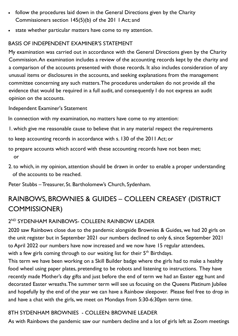- follow the procedures laid down in the General Directions given by the Charity Commissioners section 145(5)(b) of the 201 1 Act; and
- state whether particular matters have come to my attention.

#### BASIS OF INDEPENDENT EXAMINER'S STATEMENT

My examination was carried out in accordance with the General Directions given by the Charity Commission. An examination includes a review of the accounting records kept by the charity and a comparison of the accounts presented with those records. It also includes consideration of any unusual items or disclosures in the accounts, and seeking explanations from the management committee concerning any such matters. The procedures undertaken do not provide all the evidence that would be required in a full audit, and consequently I do not express an audit opinion on the accounts.

Independent Examiner's Statement

In connection with my examination, no matters have come to my attention:

- 1. which give me reasonable cause to believe that in any material respect the requirements
- to keep accounting records in accordance with s. 130 of the 2011 Act; or
- to prepare accounts which accord with these accounting records have not been met; or
- 2. to which, in my opinion, attention should be drawn in order to enable a proper understanding of the accounts to be reached.
- Peter Stubbs Treasurer, St. Bartholomew's Church, Sydenham.

## RAINBOWS, BROWNIES & GUIDES – COLLEEN CREASEY (DISTRICT COMMISSIONER)

#### 2 ND SYDENHAM RAINBOWS- COLLEEN: RAINBOW LEADER

2020 saw Rainbows close due to the pandemic alongside Brownies & Guides, we had 20 girls on the unit register but in September 2021 our numbers declined to only 6, since September 2021 to April 2022 our numbers have now increased and we now have 15 regular attendees, with a few girls coming through to our waiting list for their 5<sup>th</sup> Birthdays.

This term we have been working on a Skill Builder badge where the girls had to make a healthy food wheel using paper plates, pretending to be robots and listening to instructions. They have recently made Mother's day gifts and just before the end of term we had an Easter egg hunt and decorated Easter wreaths. The summer term will see us focusing on the Queens Platinum Jubilee and hopefully by the end of the year we can have a Rainbow sleepover. Please feel free to drop in and have a chat with the girls, we meet on Mondays from 5:30-6:30pm term time.

#### 8TH SYDENHAM BROWNIES - COLLEEN: BROWNIE LEADER

As with Rainbows the pandemic saw our numbers decline and a lot of girls left as Zoom meetings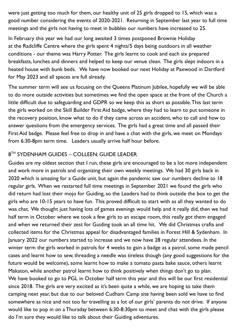were just getting too much for them, our healthy unit of 25 girls dropped to 15, which was a good number considering the events of 2020-2021. Returning in September last year to full time meetings and the girls not having to meet in bubbles our numbers have increased to 25.

In February this year we had our long awaited 3 times postponed Brownie Holiday at the Radcliffe Centre where the girls spent 4 nights/5 days being outdoors in all weather conditions - our theme was Harry Potter. The girls learnt to cook and each six prepared breakfasts, lunches and dinners and helped to keep our venue clean. The girls slept indoors in a heated house with bunk beds. We have now booked our next Holiday at Paxwood in Dartford for May 2023 and all spaces are full already.

The summer term will see us focusing on the Queens Platinum Jubilee, hopefully we will be able to do more outside activities but sometimes we find the open space at the front of the Church a little difficult due to safeguarding and GDPR so we keep this as short as possible. This last term the girls worked on the Skill Builder First Aid badge, where they had to learn to put someone in the recovery position, know what to do if they came across an accident, who to call and how to answer questions from the emergency services. The girls had a great time and all passed their First Aid badge. Please feel free to drop in and have a chat with the girls, we meet on Mondays from 6:30-8pm term time. Leaders usually arrive half hour before.

#### 8 TH SYDENHAM GUIDES – COLLEEN: GUIDE LEADER

Guides are my oldest section that I run, these girls are encouraged to be a lot more independent and work more in patrols and organizing their own weekly meetings. We had 30 girls back in 2020 which is amazing for a Guide unit, but again the pandemic saw our numbers decline to 18 regular girls. When we restarted full time meetings in September 2021 we found the girls who did return had lost their mojo for Guiding, so the Leaders had to think outside the box to get the girls who are 10-15 years to have fun. This proved difficult to start with as all they wanted to do was chat. We thought just having lots of games evenings would help and it really did, then we had half term in October where we took a few girls to an escape room, this really got them engaged and when we returned their zest for Guiding took an all time hit. We did Christmas crafts and collected items for the Christmas appeal for disadvantaged families in Forest Hill & Sydenham. In January 2022 our numbers started to increase and we now have 28 regular attendees. In the winter term the girls worked in patrols for 4 weeks to gain a badge as a patrol, some made pencil cases and learnt how to sew, threading a needle was tireless though (any good suggestions for the future would be welcome), some learnt how to make a tomato pasta bake sauce, others learnt Makaton, while another patrol learnt how to think positively when things don't go to plan. We have booked to go to PGL in October half term this year and this will be our first residential since 2018. The girls are very excited as it's been quite a while, we are hoping to take them camping next year, but due to our beloved Cudham Camp site having been sold we have to find somewhere as nice and not too far travelling as a lot of our girls' parents do not drive. If anyone would like to pop in on a Thursday between 6:30-8:30pm to meet and chat with the girls please do I'm sure they would like to talk about their Guiding adventures.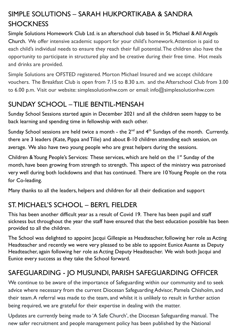## SIMPLE SOLUTIONS – SARAH HUKPORTIKABA & SANDRA **SHOCKNESS**

Simple Solutions Homework Club Ltd. is an afterschool club based in St. Michael & All Angels Church. We offer intensive academic support for your child's homework. Attention is paid to each child's individual needs to ensure they reach their full potential. The children also have the opportunity to participate in structured play and be creative during their free time. Hot meals and drinks are provided.

Simple Solutions are OFSTED registered. Morton Michael Insured and we accept childcare vouchers. The Breakfast Club is open from 7.15 to 8.30 a.m. and the Afterschool Club from 3.00 to 6.00 p.m. Visit our website: simplesolutionhw.com or email: info@simplesolutionhw.com

## SUNDAY SCHOOL – TILIE BENTIL-MENSAH

Sunday School Sessions started again in December 2021 and all the children seem happy to be back learning and spending time in fellowship with each other.

Sunday School sessions are held twice a month - the  $2<sup>nd</sup>$  and  $4<sup>th</sup>$  Sundays of the month. Currently, there are 3 leaders (Kate, Pippa and Tilie) and about 8-10 children attending each session, on average. We also have two young people who are great helpers during the sessions.

Children & Young People's Services: These services, which are held on the  $I<sup>st</sup>$  Sunday of the month, have been growing from strength to strength. This aspect of the ministry was patronised very well during both lockdowns and that has continued. There are 10 Young People on the rota for Co-leading.

Many thanks to all the leaders, helpers and children for all their dedication and support

## ST. MICHAEL'S SCHOOL – BERYL FIELDER

This has been another difficult year as a result of Covid 19. There has been pupil and staff sickness but throughout the year the staff have ensured that the best education possible has been provided to all the children.

The School was delighted to appoint Jacqui Gillespie as Headteacher, following her role as Acting Headteacher and recently we were very pleased to be able to appoint Eunice Asante as Deputy Headteacher, again following her role as Acting Deputy Headteacher. We wish both Jacqui and Eunice every success as they take the School forward.

## SAFEGUARDING - JO MUSUNDI, PARISH SAFEGUARDING OFFICER

We continue to be aware of the importance of Safeguarding within our community and to seek advice where necessary from the current Diocesan Safeguarding Advisor, Pamela Chisholm, and their team. A referral was made to the team, and whilst it is unlikely to result in further action being required, we are grateful for their expertise in dealing with the matter.

Updates are currently being made to 'A Safe Church', the Diocesan Safeguarding manual. The new safer recruitment and people management policy has been published by the National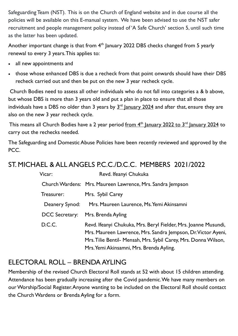Safeguarding Team (NST). This is on the Church of England website and in due course all the policies will be available on this E-manual system. We have been advised to use the NST safer recruitment and people management policy instead of 'A Safe Church' section 5, until such time as the latter has been updated.

Another important change is that from  $4<sup>th</sup>$  January 2022 DBS checks changed from 5 yearly renewal to every 3 years. This applies to:

- all new appointments and
- those whose enhanced DBS is due a recheck from that point onwards should have their DBS recheck carried out and then be put on the new 3 year recheck cycle.

Church Bodies need to assess all other individuals who do not fall into categories a & b above, but whose DBS is more than 3 years old and put a plan in place to ensure that all those individuals have a DBS no older than  $3$  years by  $3<sup>rd</sup>$  January 2024 and after that, ensure they are also on the new 3 year recheck cycle.

This means all Church Bodies have a 2 year period from  $4<sup>th</sup>$  January 2022 to  $3<sup>rd</sup>$  January 2024 to carry out the rechecks needed.

The Safeguarding and Domestic Abuse Policies have been recently reviewed and approved by the PCC.

## ST. MICHAEL & ALL ANGELS P.C.C./D.C.C. MEMBERS 2021/2022

| Vicar:         | Revd. Ifeanyi Chukuka                                                                                                                                                                                                                           |
|----------------|-------------------------------------------------------------------------------------------------------------------------------------------------------------------------------------------------------------------------------------------------|
|                | Church Wardens: Mrs. Maureen Lawrence, Mrs. Sandra Jempson                                                                                                                                                                                      |
| Treasurer:     | Mrs. Sybil Carey                                                                                                                                                                                                                                |
| Deanery Synod: | Mrs. Maureen Laurence, Ms. Yemi Akinsamni                                                                                                                                                                                                       |
| DCC Secretary: | Mrs. Brenda Ayling                                                                                                                                                                                                                              |
| D.C.C.         | Revd. Ifeanyi Chukuka, Mrs. Beryl Fielder, Mrs. Joanne Musundi,<br>Mrs. Maureen Lawrence, Mrs. Sandra Jempson, Dr. Victor Ayeni,<br>Mrs. Tilie Bentil- Mensah, Mrs. Sybil Carey, Mrs. Donna Wilson,<br>Mrs. Yemi Akinsamni, Mrs. Brenda Ayling. |

## ELECTORAL ROLL – BRENDA AYLING

Membership of the revised Church Electoral Roll stands at 52 with about 15 children attending. Attendance has been gradually increasing after the Covid pandemic. We have many members on our Worship/Social Register. Anyone wanting to be included on the Electoral Roll should contact the Church Wardens or Brenda Ayling for a form.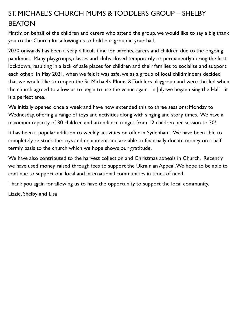## ST. MICHAEL'S CHURCH MUMS & TODDLERS GROUP – SHELBY BEATON

Firstly, on behalf of the children and carers who attend the group, we would like to say a big thank you to the Church for allowing us to hold our group in your hall.

2020 onwards has been a very difficult time for parents, carers and children due to the ongoing pandemic. Many playgroups, classes and clubs closed temporarily or permanently during the first lockdown, resulting in a lack of safe places for children and their families to socialise and support each other. In May 2021, when we felt it was safe, we as a group of local childminders decided that we would like to reopen the St. Michael's Mums & Toddlers playgroup and were thrilled when the church agreed to allow us to begin to use the venue again. In July we began using the Hall - it is a perfect area.

We initially opened once a week and have now extended this to three sessions: Monday to Wednesday, offering a range of toys and activities along with singing and story times. We have a maximum capacity of 30 children and attendance ranges from 12 children per session to 30!

It has been a popular addition to weekly activities on offer in Sydenham. We have been able to completely re stock the toys and equipment and are able to financially donate money on a half termly basis to the church which we hope shows our gratitude.

We have also contributed to the harvest collection and Christmas appeals in Church. Recently we have used money raised through fees to support the Ukrainian Appeal. We hope to be able to continue to support our local and international communities in times of need.

Thank you again for allowing us to have the opportunity to support the local community.

Lizzie, Shelby and Lisa